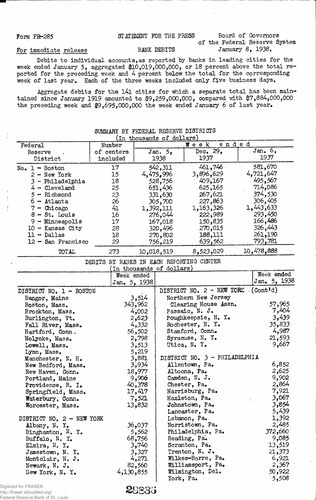# Form FR-285 STATEMENT FOR THE PRESS Board of Governors

of the Federal Reserve System

## For immediate release BANK DEBITS January 8, 1938.

Debits to individual accounts,as reported by banks in leading cities for the week ended January 5, aggregated \$10,019,000,000, or 18 percent above the total reported for the preceding week and 4 percent below the total for the corresponding week of last year. Each of the three weeks included only five business days.

Aggregate debits for the 141 cities for which a separate total has been maintained since January 1919 amounted to \$9,259,000,000, compared with \$7,884,000,000 the preceding week and \$9,695,000,000 the week ended January 6 of last year.

|                           |            | In thousands of dollars |            |            |
|---------------------------|------------|-------------------------|------------|------------|
| Federal                   | Number     |                         | Week ended |            |
| Reserve                   | of centers | Jan. 5,                 | Dec. $292$ | Jan, 6,    |
| District                  | included   | 1938                    | 1937       | 1937       |
| $No_{\bullet}$ 1 - Boston | 17         | 542,311                 | 461,746    | 581,670    |
| $2 - New York$            | 15         | 4,475,996               | 3,896,629  | 4,721,647  |
| 3 - Philadelphia          | 18         | 528,756                 | 409,167    | 495,567    |
| $4 -$ Cleveland           | 25         | 651,436                 | 625,165    | 714,086    |
| $5 -$ Richmond            | 23         | 331,630                 | 267,621    | 374,530    |
| $6 -$ Atlanta             | 26         | 305,700                 | 227,863    | 306,405    |
| $7$ - Chicago             | 41         | 1,392,111               | 1,163,326  | 1,443,633  |
| $8 - St.$ Louis           | 16         | 276,044                 | 222,989    | 293,450    |
| $9 -$ Minneapolis         | 17         | 167,018                 | 150,835    | 166,486    |
| $10 -$ Kansas City        | 28         | 320,496                 | 270,015    | 326,443    |
| $11 - Dallas$             | 18         | 270,802                 | 188,111    | 261,190    |
| 12 - San Francisco        | 29         | 756,219                 | 639,562    | 793,781    |
| TOTAL                     | 273        | 10,018,519              | 8,523,029  | 10,478,888 |

# SUMMARY BY FEDERAL RESERVE DISTRICTS

|  |  | DEBITS BY BANKS IN EACH REPORTING CENTER            |  |
|--|--|-----------------------------------------------------|--|
|  |  | $(\text{In} + \text{hausande of } \text{d}{\Omega}$ |  |

|                           | TH groupards of actricity |                                             |              |
|---------------------------|---------------------------|---------------------------------------------|--------------|
|                           | Week ended                |                                             | Week ended   |
|                           | Jan. 5, 1938              |                                             | Jan. 5, 1938 |
| DISTRICT NO. 1 - BOSTON   |                           | DISTRICT NO. $2 - \text{NEW YORK}$ (Cont'd) |              |
| Bangor, Maine             | 3,514                     | Northern New Jersey                         |              |
| Boston, Mass.             | 343,962                   | Clearing House Assn.                        | 57,965       |
| Brockton, Mass.           | 4,002                     | Passaic, N. J.                              | 7,404        |
| Burlington, Vt.           | 2,623                     | Poughkeepsie, N. Y.                         | 3,439        |
| Fall River, Mass.         | 4,332                     | Rochester, N. Y.                            | 35,833       |
| Hartford, Conn.           | 56,502                    | Stamford, Conn.                             | 4,987        |
| Holyoke, Mass.            | 2,798                     | Syracuse, N. Y.                             | 21,593       |
| Lowell, Mass.             | 3,513                     | Utica, N. Y.                                | 9,667        |
| Lynn, Mass.               | 5,219                     |                                             |              |
| Manchester, N. H.         | 3,881                     | DISTRICT NO. 3 - PHILADELPHIA               |              |
| New Bedford, Mass.        | 3,934                     | Allentown, Pa.                              | 6,852        |
| New Haven, Conn.          | 18,977                    | Altoona, Pa.                                | 2,625        |
| Portland, Maine           | 9,906                     | Camden, N. J.                               | 9,902        |
| Providence, R. I.         | 40,378                    | Chester, Pa.                                | 2,864        |
| Springfield, Mass.        | 17,417                    | Harrisburg, Pa.                             | 7,921        |
| Waterbury, Conn.          | 7,521                     | Hazleton, Pa.                               | 3,067        |
| Worcester, Mass.          | 13,832                    | Johnstown, Pa.                              | 3,854        |
|                           |                           | Lancaster, Pa.                              | 5,439        |
| DISTRICT NO. 2 - NEW YORK |                           | Lebanon, Pa.                                | 1,392        |
| Albany, N. Y.             | 36,037                    | Norristown, Pa.                             | 2,485        |
| Binghamton, $N. Y.$       | 5,562                     | Philadelphia, Pa.                           | 372,660      |
| Buffalo, N. Y.            | 68,756                    | Reading, Pa.                                | 9,085        |
| Elmira, N.Y.              | $-3,740$                  | Scranton, Pa.                               | 13,519       |
| Jamestown, N. Y.          | 3,327                     | Trenton, N. J.                              | 21,373       |
| Montclair, N. J.          | 4,271                     | Wilkes-Barre, Pa.                           | 6,921        |
| Newark, N. J.             | 82,560                    | Williamsport, Pa.                           | 2,367        |
| New York, N. Y.           | 4,130,855                 | Wilmington, Del.                            | 50,922       |
|                           |                           | York, Pa.                                   | 5,508        |
|                           |                           |                                             |              |

2 *8 3 3 3*

Digitized for FRASER http://fraser.stlouisfed.org/ Federal Reserve Bank of St. Louis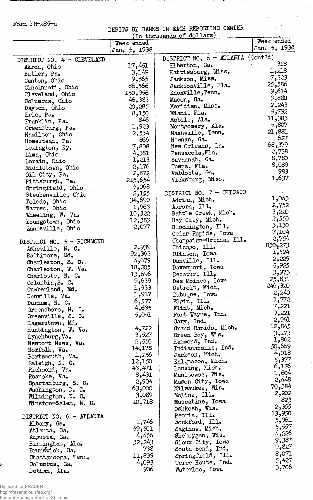## Form FR-285-a

## DEBITS BX BANKS IN EACH REPORTING CENTER

 $\frac{1}{2}$ 

J.

|                              |              | In thousands of dollars             |                |
|------------------------------|--------------|-------------------------------------|----------------|
|                              | Week ended   |                                     | Week ended     |
|                              | Jan. 5, 1938 |                                     | Jan. $5, 1938$ |
| DISTRICT NO. 4 - CLEVELAND   |              | DISTRICT NO. 6 - ATLANTA (Cont'd)   |                |
| Akron, Ohio                  | 17,451       | Elberton, Ga.                       | 318            |
| Butler, Pa.                  | 3,149        | Hattiesburg, Miss.                  | 1,218          |
| Canton, Ohio                 | 9,565        | Jackson, Miss.                      | 7,223          |
|                              | 86,566       | Jacksonville, Fla.                  | 25,586         |
| Cincinnati, Ohio             | 150,956      | Knoxville, Tenn.                    | 9,614          |
| Cleveland, Ohio              | 46,383       | Macon, Ga.                          | 3,880          |
| Columbus, Ohio               | 20,285       | Meridian, Miss.                     | 2,243          |
| Dayton, Ohio                 | 8,150        | Miami, Fla.                         | 9,792          |
| Erie, Pa.                    | 846          | Mobile, Ala.                        | 11,383         |
| Franklin, Pa.                | 1,923        | Montgomery, Ala.                    | 5,807          |
| Greensburg, Pa.              | 2,534        | Nashville, Tenn.                    | 21,881         |
| Hamilton, Ohio               | 866          | Newnan, Ga.                         | 627            |
| Homestead, Pa.               | 7,808        | New Orleans, La.                    | 68,379         |
| Lexington, Ky.               | 4,381        | Pensacola, Fla.                     | 2,738          |
| Lima, Ohio                   | 1,213        | Savannah, Ga.                       | 8,780          |
| Lorain, Ohio                 | 2,176        | Tampa, Fla.                         | 8,089          |
| Middletown, Ohio             | 2,872        | Valdosta, Ga.                       | 983            |
| Oil City, Pa.                | 215,654      | Vicksburg, Miss.                    | 1,637          |
| Pittsburgh, Pa.              | 5,068        |                                     |                |
| Springfield, Ohio            |              | DISTRICT NO. 7 - CHICAGO            |                |
| Steubenville, Ohio           | 2,155        |                                     | 1,063          |
| Toledo, Ohio                 | 34,690       | Adrian, Mich.                       | 2,752          |
| Warren, Ohio                 | 1,963        | Aurora, Ill.<br>Battle Creek, Mich. | 3,220          |
| Wheeling, W. Va.             | 10,322       |                                     | 2,550          |
| Youngstown, Ohio             | 12,383       | Bay City, Mich.                     | 3,130          |
| Zanesville, Ohio             | 2,077        | Bloomington, Ill.                   | 7,104          |
|                              |              | Cedar Rapids, Iowa                  | 2,754          |
| DISTRICT NO. 5 - RICHMOND    |              | Champaign-Urbana, Ill.              | 830,273        |
| Asheville, N. C.             | 2,939        | Chicago, Ill.                       | 1,524          |
| Baltimore, Md.               | 92,363       | Clinton, Iowa                       | 2,229          |
| Charleston, $S_{\bullet}$ C. | 4,679        | Danville, Ill.                      | 5,925          |
| Charleston, W. Va.           | 18,205       | Davenport, Iowa                     | 3,973          |
| Charlotte, N. C.             | 13,696       | Decatur, Ill.                       | 25,831         |
| Columbia, S. C.              | 9,639        | Des Moines, Iowa                    | 246,320        |
| Cumberland, Md.              | 1,933        | Detroit, Mich.                      | 2,240          |
| Danville, Va.                | 1,917        | Dubuque, Iowa                       | 1,772          |
| Durham, N. C.                | 6,577        | Elgin, Ill.                         | 7,221          |
| Greensboro, N. C.            | 4,635        | Flint, Mich.                        | 9,221          |
| Greenville, S. C.            | 5,051        | Fort Wayne, Ind.                    | 2,961          |
| Hagerstown, Md.              |              | Gary, Ind.                          | 12,845         |
| Huntington, W. Va.           | 4,722        | Grand Rapids, Mich.                 | 3,173          |
| Lynchburg, Va.               | 3,527        | Green Bay, Wis.                     | 1,862          |
| Newport News, Va.            | 2,550        | Hammond, Ind.                       | 50,669         |
| Norfolk, Va.                 | 14,178       | Indianapolis, Ind.                  | 4,018          |
| Portsmouth, Va.              | 1,256        | Jackson, Mich.                      | 5,377          |
| Raleigh, N. C.               | 12,150       | Kal <sub>a</sub> mazoo, Mich.       | 6,176          |
| Richmond, Va.                | 43,471       | Lansing, Mich.                      | 1,604          |
| Roanoke, Va.                 | 8,431        | Manitowoc, Wis.                     | 2,448          |
| Spartanburg, S. C.           | 2,904        | Mason City, Iowa                    | 70,384         |
| Washington, D. C.            | 63,000       | Milwaukee, Wis.                     | 2,202          |
| Wilmington, N. C.            | 3,089        | Moline, Ill.                        | 823            |
| Winston-Salem, N. C.         | 10,718       | Muscatine, Iowa                     | 2,355          |
|                              |              | Oshkosh, Wis.                       | 13,950         |
| DISTRICT NO. 6 - ATLANTA     |              | Peoria, Ill.                        | 5,961          |
| Albany, Ga.                  | 1,746        | Rockford, Ill.                      | 5,557          |
| Atlanta, Ga.                 | 59,501       | Saginaw, Mich.                      | 4,226          |
| Augusta, Ga.                 | 4,456        | Sheboygan, Wis.                     | 9,387          |
| Birmingham, Ala.             | 32,243       | Sioux City, Iowa                    | 9,827          |
| Brunswick, Ga.               | 738          | South Bend, Ind.                    | 8,071          |
| Chattanooga, Tenn.           | 11,839       | Springfield, Ill.                   | 5,427          |
| Columbus, Ga.                | 4,093        | Terre Haute, Ind.                   | 3,706          |
| Dothan, Ala.                 | 906          | Waterloo, Iowa                      |                |

Ų